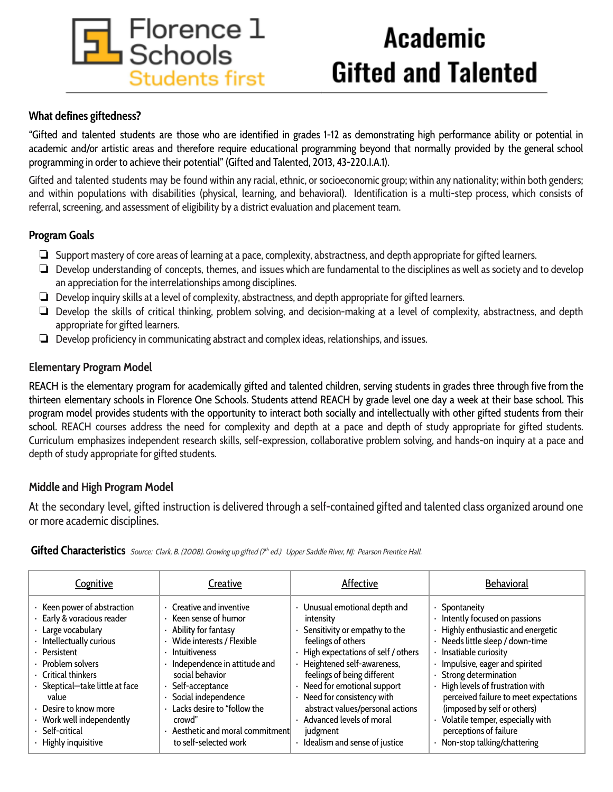

# **Academic Gifted and Talented**

# **What defines giftedness?**

"Gifted and talented students are those who are identified in grades 1-12 as demonstrating high performance ability or potential in academic and/or artistic areas and therefore require educational programming beyond that normally provided by the general school programming in order to achieve their potential" (Gifted and Talented, 2013, 43-220.I.A.1).

Gifted and talented students may be found within any racial, ethnic, or socioeconomic group; within any nationality; within both genders; and within populations with disabilities (physical, learning, and behavioral). Identification is a multi-step process, which consists of referral, screening, and assessment of eligibility by a district evaluation and placement team.

# **Program Goals**

- ❏ Support mastery of core areas of learning at a pace, complexity, abstractness, and depth appropriate for gifted learners.
- ❏ Develop understanding of concepts, themes, and issues which are fundamental to the disciplines as well as society and to develop an appreciation for the interrelationships among disciplines.
- ❏ Develop inquiry skills at a level of complexity, abstractness, and depth appropriate for gifted learners.
- ❏ Develop the skills of critical thinking, problem solving, and decision-making at a level of complexity, abstractness, and depth appropriate for gifted learners.
- ❏ Develop proficiency in communicating abstract and complex ideas, relationships, and issues.

# **Elementary Program Model**

REACH is the elementary program for academically gifted and talented children, serving students in grades three through five from the thirteen elementary schools in Florence One Schools. Students attend REACH by grade level one day a week at their base school. This program model provides students with the opportunity to interact both socially and intellectually with other gifted students from their school. REACH courses address the need for complexity and depth at a pace and depth of study appropriate for gifted students. Curriculum emphasizes independent research skills, self-expression, collaborative problem solving, and hands-on inquiry at a pace and depth of study appropriate for gifted students.

# **Middle and High Program Model**

At the secondary level, gifted instruction is delivered through a self-contained gifted and talented class organized around one or more academic disciplines.

| Cognitive                       | Creative                       | Affective                          | <b>Behavioral</b>                      |
|---------------------------------|--------------------------------|------------------------------------|----------------------------------------|
| · Keen power of abstraction     | Creative and inventive         | Unusual emotional depth and        | · Spontaneity                          |
| · Early & voracious reader      | Keen sense of humor            | intensity                          | Intently focused on passions           |
| · Large vocabulary              | · Ability for fantasy          | · Sensitivity or empathy to the    | · Highly enthusiastic and energetic    |
| · Intellectually curious        | Wide interests / Flexible      | feelings of others                 | · Needs little sleep / down-time       |
| · Persistent                    | · Intuitiveness                | High expectations of self / others | Insatiable curiosity                   |
| · Problem solvers               | Independence in attitude and   | · Heightened self-awareness,       | · Impulsive, eager and spirited        |
| Critical thinkers               | social behavior                | feelings of being different        | · Strong determination                 |
| · Skeptical-take little at face | Self-acceptance                | · Need for emotional support       | · High levels of frustration with      |
| value                           | Social independence            | · Need for consistency with        | perceived failure to meet expectations |
| Desire to know more             | Lacks desire to "follow the    | abstract values/personal actions   | (imposed by self or others)            |
| · Work well independently       | crowd"                         | Advanced levels of moral           | · Volatile temper, especially with     |
| · Self-critical                 | Aesthetic and moral commitment | judgment                           | perceptions of failure                 |
| · Highly inquisitive            | to self-selected work          | · Idealism and sense of justice    | · Non-stop talking/chattering          |

Gifted Characteristics Source: Clark, B. (2008). Growing up gifted (7<sup>th</sup> ed.) Upper Saddle River, NJ: Pearson Prentice Hall.